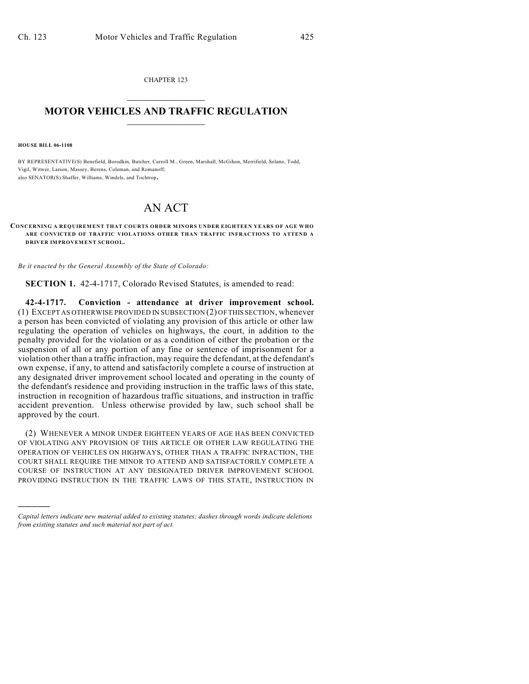CHAPTER 123  $\mathcal{L}_\text{max}$  . The set of the set of the set of the set of the set of the set of the set of the set of the set of the set of the set of the set of the set of the set of the set of the set of the set of the set of the set

## **MOTOR VEHICLES AND TRAFFIC REGULATION**  $\frac{1}{2}$  ,  $\frac{1}{2}$  ,  $\frac{1}{2}$  ,  $\frac{1}{2}$  ,  $\frac{1}{2}$  ,  $\frac{1}{2}$  ,  $\frac{1}{2}$  ,  $\frac{1}{2}$

**HOUSE BILL 06-1108**

)))))

BY REPRESENTATIVE(S) Benefield, Borodkin, Butcher, Carroll M., Green, Marshall, McGihon, Merrifield, Solano, Todd, Vigil, Witwer, Larson, Massey, Berens, Coleman, and Romanoff; also SENATOR(S) Shaffer, Williams, Windels, and Tochtrop.

## AN ACT

**CONCERNING A REQUIREMENT THAT COURTS ORDER M INORS UNDER EIGHTEEN YEARS OF AGE WHO ARE CONVICTED OF TRAFFIC VIOLATIONS OTHER THAN TRAFFIC INFRACTIONS TO ATTEND A DRIVER IMPROVEMENT SCHOOL.**

*Be it enacted by the General Assembly of the State of Colorado:*

**SECTION 1.** 42-4-1717, Colorado Revised Statutes, is amended to read:

**42-4-1717. Conviction - attendance at driver improvement school.** (1) EXCEPT AS OTHERWISE PROVIDED IN SUBSECTION (2) OF THIS SECTION, whenever a person has been convicted of violating any provision of this article or other law regulating the operation of vehicles on highways, the court, in addition to the penalty provided for the violation or as a condition of either the probation or the suspension of all or any portion of any fine or sentence of imprisonment for a violation other than a traffic infraction, may require the defendant, at the defendant's own expense, if any, to attend and satisfactorily complete a course of instruction at any designated driver improvement school located and operating in the county of the defendant's residence and providing instruction in the traffic laws of this state, instruction in recognition of hazardous traffic situations, and instruction in traffic accident prevention. Unless otherwise provided by law, such school shall be approved by the court.

(2) WHENEVER A MINOR UNDER EIGHTEEN YEARS OF AGE HAS BEEN CONVICTED OF VIOLATING ANY PROVISION OF THIS ARTICLE OR OTHER LAW REGULATING THE OPERATION OF VEHICLES ON HIGHWAYS, OTHER THAN A TRAFFIC INFRACTION, THE COURT SHALL REQUIRE THE MINOR TO ATTEND AND SATISFACTORILY COMPLETE A COURSE OF INSTRUCTION AT ANY DESIGNATED DRIVER IMPROVEMENT SCHOOL PROVIDING INSTRUCTION IN THE TRAFFIC LAWS OF THIS STATE, INSTRUCTION IN

*Capital letters indicate new material added to existing statutes; dashes through words indicate deletions from existing statutes and such material not part of act.*